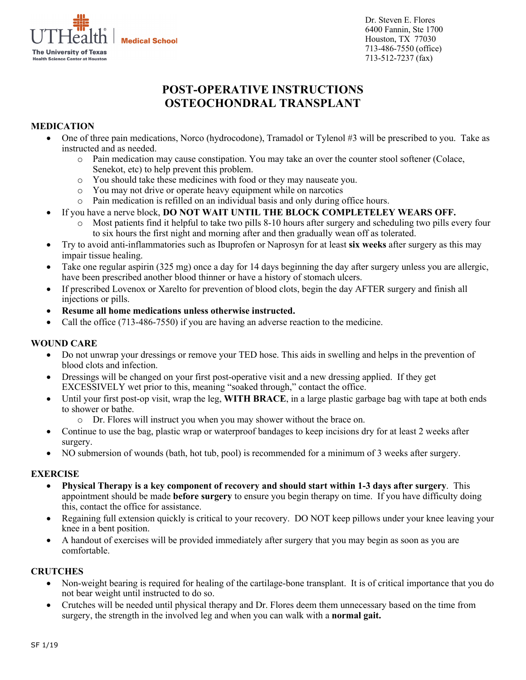**Medical School** 



Dr. Steven E. Flores 6400 Fannin, Ste 1700 Houston, TX 77030 713-486-7550 (office) 713-512-7237 (fax)

# **POST-OPERATIVE INSTRUCTIONS OSTEOCHONDRAL TRANSPLANT**

## **MEDICATION**

- One of three pain medications, Norco (hydrocodone), Tramadol or Tylenol #3 will be prescribed to you. Take as instructed and as needed.
	- o Pain medication may cause constipation. You may take an over the counter stool softener (Colace, Senekot, etc) to help prevent this problem.
	- o You should take these medicines with food or they may nauseate you.
	- o You may not drive or operate heavy equipment while on narcotics
	- o Pain medication is refilled on an individual basis and only during office hours.
- If you have a nerve block, **DO NOT WAIT UNTIL THE BLOCK COMPLETELEY WEARS OFF.** 
	- o Most patients find it helpful to take two pills 8-10 hours after surgery and scheduling two pills every four to six hours the first night and morning after and then gradually wean off as tolerated.
- Try to avoid anti-inflammatories such as Ibuprofen or Naprosyn for at least **six weeks** after surgery as this may impair tissue healing.
- Take one regular aspirin (325 mg) once a day for 14 days beginning the day after surgery unless you are allergic, have been prescribed another blood thinner or have a history of stomach ulcers.
- If prescribed Lovenox or Xarelto for prevention of blood clots, begin the day AFTER surgery and finish all injections or pills.
- **Resume all home medications unless otherwise instructed.**
- Call the office (713-486-7550) if you are having an adverse reaction to the medicine.

## **WOUND CARE**

- Do not unwrap your dressings or remove your TED hose. This aids in swelling and helps in the prevention of blood clots and infection.
- Dressings will be changed on your first post-operative visit and a new dressing applied. If they get EXCESSIVELY wet prior to this, meaning "soaked through," contact the office.
- Until your first post-op visit, wrap the leg, **WITH BRACE**, in a large plastic garbage bag with tape at both ends to shower or bathe.
	- o Dr. Flores will instruct you when you may shower without the brace on.
- Continue to use the bag, plastic wrap or waterproof bandages to keep incisions dry for at least 2 weeks after surgery.
- NO submersion of wounds (bath, hot tub, pool) is recommended for a minimum of 3 weeks after surgery.

## **EXERCISE**

- **Physical Therapy is a key component of recovery and should start within 1-3 days after surgery**. This appointment should be made **before surgery** to ensure you begin therapy on time. If you have difficulty doing this, contact the office for assistance.
- Regaining full extension quickly is critical to your recovery. DO NOT keep pillows under your knee leaving your knee in a bent position.
- A handout of exercises will be provided immediately after surgery that you may begin as soon as you are comfortable.

## **CRUTCHES**

- Non-weight bearing is required for healing of the cartilage-bone transplant. It is of critical importance that you do not bear weight until instructed to do so.
- Crutches will be needed until physical therapy and Dr. Flores deem them unnecessary based on the time from surgery, the strength in the involved leg and when you can walk with a **normal gait.**